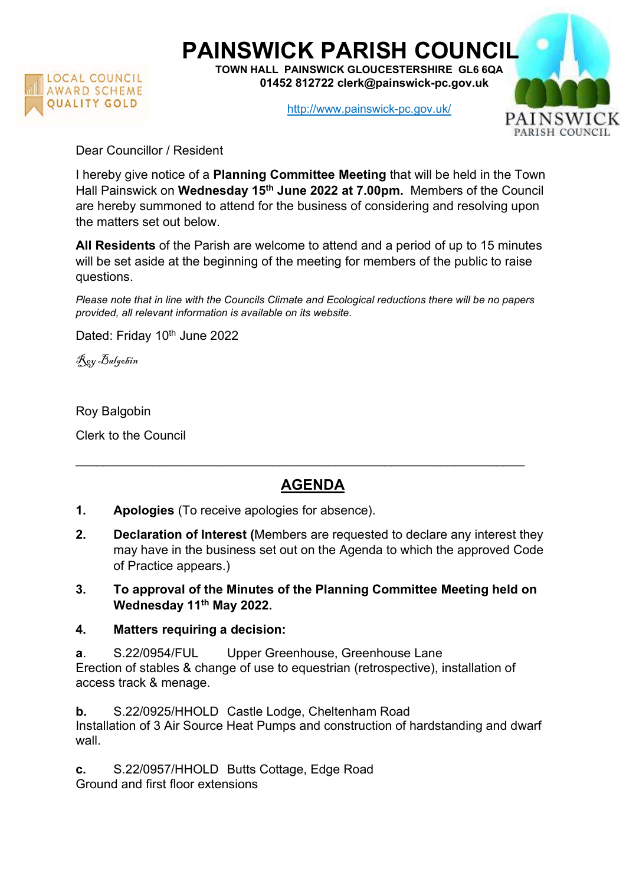

## PAINSWICK PARISH COUNCIL

TOWN HALL PAINSWICK GLOUCESTERSHIRE GL6 6QA 01452 812722 clerk@painswick-pc.gov.uk

http://www.painswick-pc.gov.uk/



Dear Councillor / Resident

I hereby give notice of a Planning Committee Meeting that will be held in the Town Hall Painswick on Wednesday 15<sup>th</sup> June 2022 at 7.00pm. Members of the Council are hereby summoned to attend for the business of considering and resolving upon the matters set out below.

All Residents of the Parish are welcome to attend and a period of up to 15 minutes will be set aside at the beginning of the meeting for members of the public to raise questions.

Please note that in line with the Councils Climate and Ecological reductions there will be no papers provided, all relevant information is available on its website.

Dated: Friday 10<sup>th</sup> June 2022

Roy Balgobin

Roy Balgobin

Clerk to the Council

## AGENDA

\_\_\_\_\_\_\_\_\_\_\_\_\_\_\_\_\_\_\_\_\_\_\_\_\_\_\_\_\_\_\_\_\_\_\_\_\_\_\_\_\_\_\_\_\_\_\_\_\_\_\_\_\_\_\_\_\_\_\_\_\_\_\_\_

- 1. Apologies (To receive apologies for absence).
- 2. Declaration of Interest (Members are requested to declare any interest they may have in the business set out on the Agenda to which the approved Code of Practice appears.)
- 3. To approval of the Minutes of the Planning Committee Meeting held on Wednesday 11<sup>th</sup> May 2022.
- 4. Matters requiring a decision:

a. S.22/0954/FUL Upper Greenhouse, Greenhouse Lane Erection of stables & change of use to equestrian (retrospective), installation of access track & menage.

b. S.22/0925/HHOLD Castle Lodge, Cheltenham Road Installation of 3 Air Source Heat Pumps and construction of hardstanding and dwarf wall.

c. S.22/0957/HHOLD Butts Cottage, Edge Road Ground and first floor extensions